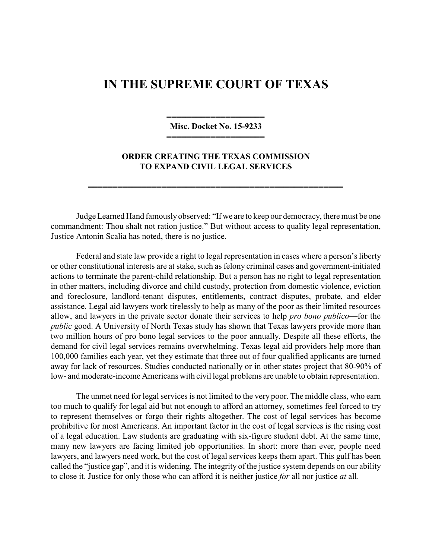## **IN THE SUPREME COURT OF TEXAS**

——————————————————— **Misc. Docket No. 15-9233** ————————————————————

## **ORDER CREATING THE TEXAS COMMISSION TO EXPAND CIVIL LEGAL SERVICES**

4444444444444444444444444444444444444444444444444444

Judge Learned Hand famouslyobserved: "If we are to keep our democracy, theremust be one commandment: Thou shalt not ration justice." But without access to quality legal representation, Justice Antonin Scalia has noted, there is no justice.

Federal and state law provide a right to legal representation in cases where a person's liberty or other constitutional interests are at stake, such as felony criminal cases and government-initiated actions to terminate the parent-child relationship. But a person has no right to legal representation in other matters, including divorce and child custody, protection from domestic violence, eviction and foreclosure, landlord-tenant disputes, entitlements, contract disputes, probate, and elder assistance. Legal aid lawyers work tirelessly to help as many of the poor as their limited resources allow, and lawyers in the private sector donate their services to help *pro bono publico*—for the *public* good. A University of North Texas study has shown that Texas lawyers provide more than two million hours of pro bono legal services to the poor annually. Despite all these efforts, the demand for civil legal services remains overwhelming. Texas legal aid providers help more than 100,000 families each year, yet they estimate that three out of four qualified applicants are turned away for lack of resources. Studies conducted nationally or in other states project that 80-90% of low- and moderate-income Americans with civil legal problems are unable to obtain representation.

The unmet need for legal services is not limited to the very poor. The middle class, who earn too much to qualify for legal aid but not enough to afford an attorney, sometimes feel forced to try to represent themselves or forgo their rights altogether. The cost of legal services has become prohibitive for most Americans. An important factor in the cost of legal services is the rising cost of a legal education. Law students are graduating with six-figure student debt. At the same time, many new lawyers are facing limited job opportunities. In short: more than ever, people need lawyers, and lawyers need work, but the cost of legal services keeps them apart. This gulf has been called the "justice gap", and it is widening. The integrity of the justice system depends on our ability to close it. Justice for only those who can afford it is neither justice *for* all nor justice *at* all.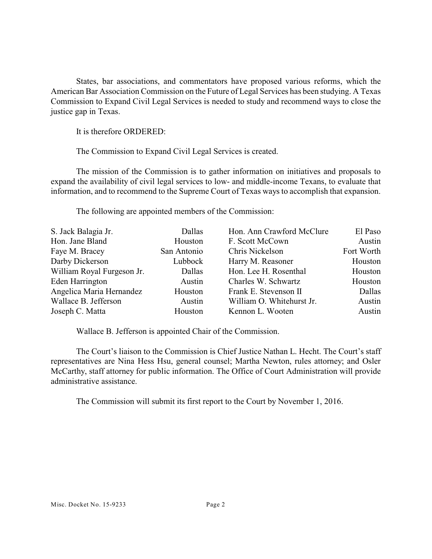States, bar associations, and commentators have proposed various reforms, which the American Bar Association Commission on the Future of Legal Services has been studying. A Texas Commission to Expand Civil Legal Services is needed to study and recommend ways to close the justice gap in Texas.

It is therefore ORDERED:

The Commission to Expand Civil Legal Services is created.

The mission of the Commission is to gather information on initiatives and proposals to expand the availability of civil legal services to low- and middle-income Texans, to evaluate that information, and to recommend to the Supreme Court of Texas ways to accomplish that expansion.

The following are appointed members of the Commission:

| S. Jack Balagia Jr.        | Dallas      | Hon. Ann Crawford McClure | El Paso    |
|----------------------------|-------------|---------------------------|------------|
| Hon. Jane Bland            | Houston     | F. Scott McCown           | Austin     |
| Faye M. Bracey             | San Antonio | Chris Nickelson           | Fort Worth |
| Darby Dickerson            | Lubbock     | Harry M. Reasoner         | Houston    |
| William Royal Furgeson Jr. | Dallas      | Hon. Lee H. Rosenthal     | Houston    |
| Eden Harrington            | Austin      | Charles W. Schwartz       | Houston    |
| Angelica Maria Hernandez   | Houston     | Frank E. Stevenson II     | Dallas     |
| Wallace B. Jefferson       | Austin      | William O. Whitehurst Jr. | Austin     |
| Joseph C. Matta            | Houston     | Kennon L. Wooten          | Austin     |

Wallace B. Jefferson is appointed Chair of the Commission.

The Court's liaison to the Commission is Chief Justice Nathan L. Hecht. The Court's staff representatives are Nina Hess Hsu, general counsel; Martha Newton, rules attorney; and Osler McCarthy, staff attorney for public information. The Office of Court Administration will provide administrative assistance.

The Commission will submit its first report to the Court by November 1, 2016.